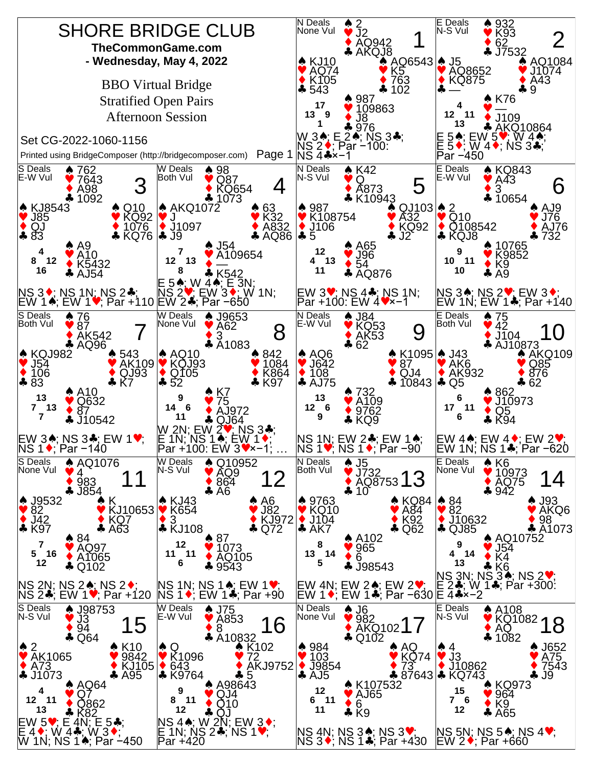